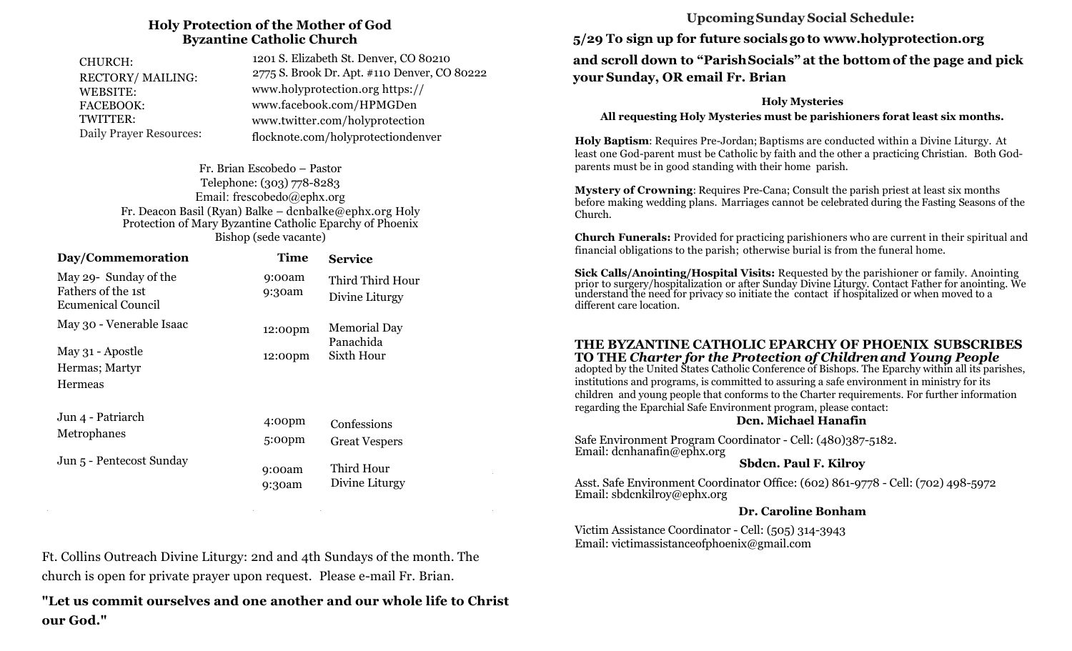#### **Holy Protection of the Mother of God Byzantine Catholic Church**

| CHURCH:<br>RECTORY/MAILING:    | 1201 S. Elizabeth St. Denver, CO 80210<br>2775 S. Brook Dr. Apt. #110 Denver, CO 80222 |  |
|--------------------------------|----------------------------------------------------------------------------------------|--|
| WEBSITE:                       | www.holyprotection.org https://                                                        |  |
| <b>FACEBOOK:</b>               | www.facebook.com/HPMGDen                                                               |  |
| TWITTER:                       | www.twitter.com/holyprotection                                                         |  |
| <b>Daily Prayer Resources:</b> | flocknote.com/holyprotectiondenver                                                     |  |

Fr. Brian Escobedo – Pastor Telephone: (303) 778-8283 Email: frescobedo@ephx.org Fr. Deacon Basil (Ryan) Balke – dcnbalke@ephx.org Holy Protection of Mary Byzantine Catholic Eparchy of Phoenix Bishop (sede vacante)

| Day/Commemoration                                                        | <b>Time</b>                  | <b>Service</b>                                 |  |
|--------------------------------------------------------------------------|------------------------------|------------------------------------------------|--|
| May 29- Sunday of the<br>Fathers of the 1st<br><b>Ecumenical Council</b> | 9:00am<br>9:30am             | Third Third Hour<br>Divine Liturgy             |  |
| May 30 - Venerable Isaac                                                 | 12:00pm                      | <b>Memorial Day</b><br>Panachida<br>Sixth Hour |  |
| May 31 - Apostle<br>Hermas; Martyr<br>Hermeas                            | 12:00pm                      |                                                |  |
| Jun 4 - Patriarch<br>Metrophanes                                         | 4:00 <sub>pm</sub><br>5:00pm | Confessions<br><b>Great Vespers</b>            |  |
| Jun 5 - Pentecost Sunday                                                 | 9:00am<br>9:30am             | Third Hour<br>Divine Liturgy                   |  |

Ft. Collins Outreach Divine Liturgy: 2nd and 4th Sundays of the month. The church is open for private prayer upon request. Please e-mail Fr. Brian.

**"Let us commit ourselves and one another and our whole life to Christ our God."**

## **Upcoming Sunday Social Schedule:**

**5/29 To sign up for future socials go to www.holyprotection.org and scroll down to "Parish Socials" at the bottom of the page and pick your Sunday, OR email Fr. Brian** 

#### **Holy Mysteries**

**All requesting Holy Mysteries must be parishioners forat least six months.** 

**Holy Baptism**: Requires Pre-Jordan; Baptisms are conducted within a Divine Liturgy. At least one God-parent must be Catholic by faith and the other a practicing Christian. Both G0dparents must be in good standing with their home parish.

**Mystery of Crowning**: Requires Pre-Cana; Consult the parish priest at least six months before making wedding plans. Marriages cannot be celebrated during the Fasting Seasons of the Church.

**Church Funerals:** Provided for practicing parishioners who are current in their spiritual and financial obligations to the parish; otherwise burial is from the funeral home.

**Sick Calls/Anointing/Hospital Visits:** Requested by the parishioner or family. Anointing prior to surgery/hospitalization or after Sunday Divine Liturgy. Contact Father for anointing. We understand the need for privacy so initiate the contact if hospitalized or when moved to a different care location.

#### **THE BYZANTINE CATHOLIC EPARCHY OF PHOENIX SUBSCRIBES TO THE** *Charter for the Protection of Childrenand Young People*

adopted by the United States Catholic Conference of Bishops. The Eparchy within all its parishes, institutions and programs, is committed to assuring a safe environment in ministry for its children and young people that conforms to the Charter requirements. For further information regarding the Eparchial Safe Environment program, please contact:

#### **Dcn. Michael Hanafin**

Safe Environment Program Coordinator - Cell: (480)387-5182. Email: dcnhanafin@ephx.org

#### **Sbdcn. Paul F. Kilroy**

Asst. Safe Environment Coordinator Office: (602) 861-9778 - Cell: (702) 498-5972 Email: sbdcnkilroy@ephx.org

#### **Dr. Caroline Bonham**

Victim Assistance Coordinator - Cell: (505) 314-3943 Email: victimassistanceofphoenix@gmail.com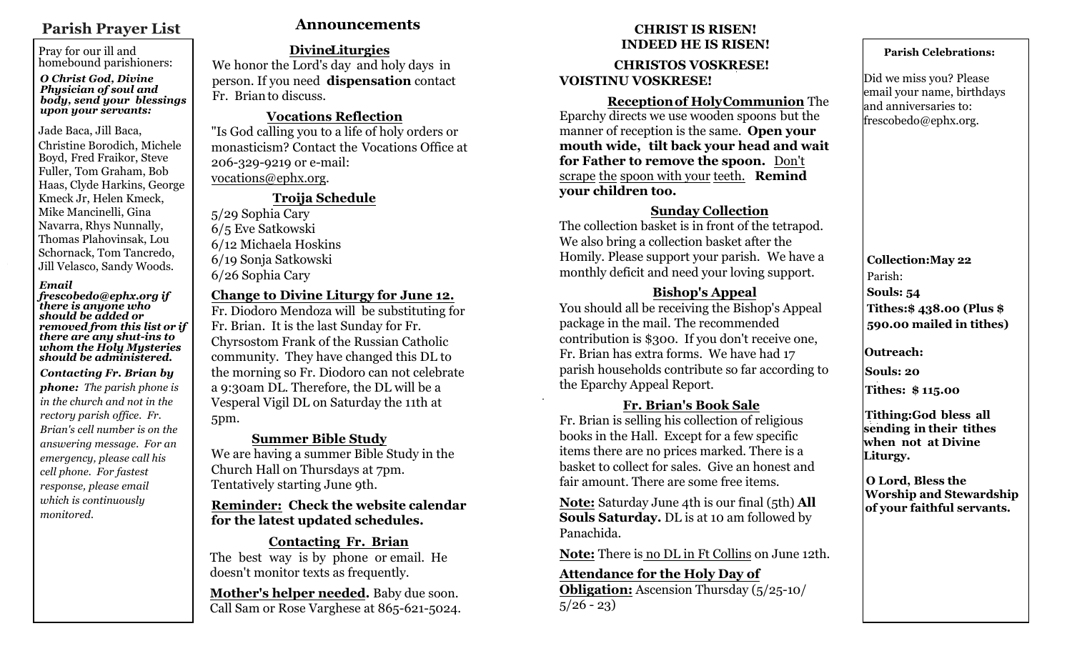## **Parish Prayer List**

Pray for our ill and homebound parishioners:

#### *O Christ God, Divine Physician of soul and body, send your blessings upon your servants:*

#### Jade Baca, Jill Baca,

Christine Borodich, Michele Boyd, Fred Fraikor, Steve Fuller, Tom Graham, Bob Haas, Clyde Harkins, George Kmeck Jr, Helen Kmeck, Mike Mancinelli, Gina Navarra, Rhys Nunnally, Thomas Plahovinsak, Lou Schornack, Tom Tancredo, Jill Velasco, Sandy Woods.

#### *Email*

*frescobedo@ephx.org if there is anyone who should be added or removed from this list or if there are any shut-ins to whom the Holy Mysteries should be administered.*

*Contacting Fr. Brian by phone: The parish phone is in the church and not in the rectory parish office. Fr. Brian's cell number is on the answering message. For an emergency, please call his cell phone. For fastest response, please email which is continuously monitored.* 

## **Announcements CHRIST IS RISEN!**

## **DivineLiturgies**

We honor the Lord's day and holy days in person. If you need **dispensation** contact Fr. Brianto discuss.

## **Vocations Reflection**

"Is God calling you to a life of holy orders or monasticism? Contact the Vocations Office at 206-329-9219 or e-mail: vocations@ephx.org.

## **Troija Schedule**

5/29 Sophia Cary 6/5 Eve Satkowski 6/12 Michaela Hoskins 6/19 Sonja Satkowski 6/26 Sophia Cary

## **Change to Divine Liturgy for June 12.**

Fr. Diodoro Mendoza will be substituting for Fr. Brian. It is the last Sunday for Fr. Chyrsostom Frank of the Russian Catholic community. They have changed this DL to the morning so Fr. Diodoro can not celebrate a 9:30am DL. Therefore, the DL will be a Vesperal Vigil DL on Saturday the 11th at 5pm.

## **Summer Bible Study**

We are having a summer Bible Study in the Church Hall on Thursdays at 7pm. Tentatively starting June 9th.

## **Reminder: Check the website calendar for the latest updated schedules.**

## **Contacting Fr. Brian**

The best way is by phone or email. He doesn't monitor texts as frequently.

**Mother's helper needed.** Baby due soon. Call Sam or Rose Varghese at 865-621-5024.

# **INDEED HE IS RISEN!**

**CHRISTOS VOSKRESE! VOISTINU VOSKRESE!**

 **Receptionof HolyCommunion** The Eparchy directs we use wooden spoons but the manner of reception is the same. **Open your mouth wide, tilt back your head and wait for Father to remove the spoon.** Don't scrape the spoon with your teeth. **Remind your children too.**

## **Sunday Collection**

The collection basket is in front of the tetrapod. We also bring a collection basket after the Homily. Please support your parish. We have a monthly deficit and need your loving support.

## **Bishop's Appeal**

You should all be receiving the Bishop's Appeal package in the mail. The recommended contribution is \$300. If you don't receive one, Fr. Brian has extra forms. We have had 17 parish households contribute so far according to the Eparchy Appeal Report.

## **Fr. Brian's Book Sale**

Fr. Brian is selling his collection of religious books in the Hall. Except for a few specific items there are no prices marked. There is a basket to collect for sales. Give an honest and fair amount. There are some free items.

**Note:** Saturday June 4th is our final (5th) **All Souls Saturday.** DL is at 10 am followed by Panachida.

**Note:** There is no DL in Ft Collins on June 12th.

# **Attendance for the Holy Day of**

**Obligation:** Ascension Thursday (5/25-10/  $5/26 - 23$ 

## **Parish Celebrations:**

Did we miss you? Please email your name, birthdays and anniversaries to: frescobedo@ephx.org.

**Collection:May 22** Parish: **Souls: 54 Tithes:\$ 438.00 (Plus \$ 590.00 mailed in tithes)**

**Outreach:** 

**Souls: 20**

**Tithes: \$ 115.00**

**Tithing:God bless all sending in their tithes when not at Divine Liturgy.** 

**O Lord, Bless the Worship and Stewardship of your faithful servants.**